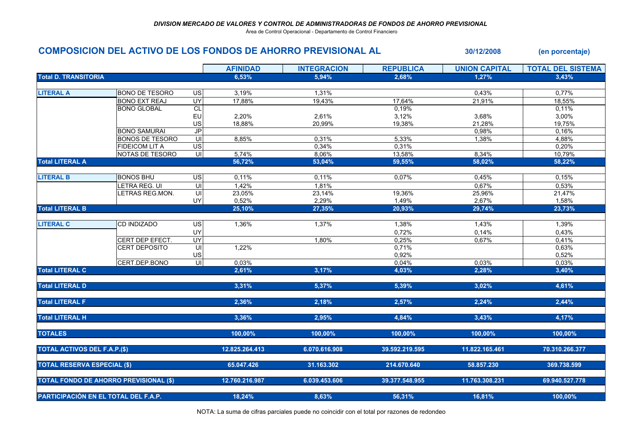Área de Control Operacional - Departamento de Control Financiero

## COMPOSICION DEL ACTIVO DE LOS FONDOS DE AHORRO PREVISIONAL AL 30/12/2008 (en porcentaje)

|                                               |                        |                          | <b>AFINIDAD</b> | <b>INTEGRACION</b> | <b>REPUBLICA</b> | <b>UNION CAPITAL</b> | <b>TOTAL DEL SISTEMA</b> |
|-----------------------------------------------|------------------------|--------------------------|-----------------|--------------------|------------------|----------------------|--------------------------|
| <b>Total D. TRANSITORIA</b>                   |                        |                          | 6,53%           | 5,94%              | 2,68%            | 1,27%                | 3,43%                    |
|                                               |                        |                          |                 |                    |                  |                      |                          |
| <b>LITERAL A</b>                              | <b>BONO DE TESORO</b>  | US                       | 3,19%           | 1,31%              |                  | 0,43%                | 0,77%                    |
|                                               | <b>BONO EXT REAJ</b>   | <b>UY</b>                | 17,88%          | 19,43%             | 17,64%           | 21,91%               | 18,55%                   |
|                                               | <b>BONO GLOBAL</b>     | CL                       |                 |                    | 0,19%            |                      | 0,11%                    |
|                                               |                        | EU                       | 2,20%           | 2,61%              | 3,12%            | 3,68%                | 3,00%                    |
|                                               |                        | US                       | 18,88%          | 20,99%             | 19,38%           | 21,28%               | 19,75%                   |
|                                               | <b>BONO SAMURAI</b>    | $\overline{J}$           |                 |                    |                  | 0,98%                | 0,16%                    |
|                                               | <b>BONOS DE TESORO</b> | $\subseteq$              | 8,85%           | 0,31%              | 5,33%            | 1,38%                | 4,88%                    |
|                                               | <b>FIDEICOM LIT A</b>  | $\overline{\mathsf{ds}}$ |                 | 0,34%              | 0,31%            |                      | 0,20%                    |
|                                               | NOTAS DE TESORO        | $\overline{\mathsf{u}}$  | 5,74%           | 8,06%              | 13,58%           | 8,34%                | 10,79%                   |
| <b>Total LITERAL A</b>                        |                        |                          | 56,72%          | 53,04%             | 59,55%           | 58,02%               | 58,22%                   |
|                                               |                        |                          |                 |                    |                  |                      |                          |
| <b>LITERAL B</b>                              | <b>BONOS BHU</b>       | $\overline{US}$          | 0,11%           | 0,11%              | 0,07%            | 0,45%                | 0,15%                    |
|                                               | LETRA REG. UI          | $\subseteq$              | 1,42%           | 1,81%              |                  | 0,67%                | 0,53%                    |
|                                               | LETRAS REG.MON.        | $\overline{U}$           | 23,05%          | 23,14%             | 19,36%           | 25,96%               | 21,47%                   |
|                                               |                        | UY                       | 0,52%           | 2,29%              | 1,49%            | 2,67%                | 1,58%                    |
| <b>Total LITERAL B</b>                        |                        |                          | 25,10%          | 27,35%             | 20,93%           | 29,74%               | 23,73%                   |
|                                               |                        |                          |                 |                    |                  |                      |                          |
| <b>LITERAL C</b>                              | <b>CD INDIZADO</b>     | US                       | 1,36%           | 1,37%              | 1,38%            | 1,43%                | 1,39%                    |
|                                               |                        | UY                       |                 |                    | 0,72%            | 0,14%                | 0,43%                    |
|                                               | CERT DEP EFECT.        | <b>UY</b>                |                 | 1,80%              | 0,25%            | 0,67%                | 0,41%                    |
|                                               | <b>CERT DEPOSITO</b>   | $\mathsf{U}\mathsf{I}$   | 1,22%           |                    | 0,71%            |                      | 0,63%                    |
|                                               |                        | US                       |                 |                    | 0,92%            |                      | 0,52%                    |
|                                               | CERT.DEP.BONO          | $\equiv$                 | 0,03%           |                    | 0,04%            | 0,03%                | 0,03%                    |
| <b>Total LITERAL C</b>                        |                        |                          | 2,61%           | 3,17%              | 4,03%            | 2,28%                | 3,40%                    |
| <b>Total LITERAL D</b>                        |                        |                          | 3,31%           | 5,37%              | 5,39%            | 3,02%                | 4,61%                    |
|                                               |                        |                          |                 |                    |                  |                      |                          |
| <b>Total LITERAL F</b>                        |                        |                          | 2,36%           | 2,18%              | 2,57%            | 2,24%                | 2,44%                    |
| <b>Total LITERAL H</b>                        |                        |                          | 3,36%           | 2,95%              | 4,84%            | 3,43%                | 4,17%                    |
|                                               |                        |                          |                 |                    |                  |                      |                          |
| <b>TOTALES</b>                                |                        |                          | 100,00%         | 100,00%            | 100,00%          | 100,00%              | 100,00%                  |
| <b>TOTAL ACTIVOS DEL F.A.P.(\$)</b>           |                        |                          | 12.825.264.413  | 6.070.616.908      | 39.592.219.595   | 11.822.165.461       | 70.310.266.377           |
| <b>TOTAL RESERVA ESPECIAL (\$)</b>            |                        |                          | 65.047.426      | 31.163.302         | 214.670.640      | 58.857.230           | 369.738.599              |
|                                               |                        |                          |                 |                    |                  |                      |                          |
| <b>TOTAL FONDO DE AHORRO PREVISIONAL (\$)</b> |                        |                          | 12.760.216.987  | 6.039.453.606      | 39.377.548.955   | 11.763.308.231       | 69.940.527.778           |
| PARTICIPACIÓN EN EL TOTAL DEL F.A.P.          |                        |                          | 18,24%          | 8,63%              | 56,31%           | 16,81%               | 100,00%                  |

NOTA: La suma de cifras parciales puede no coincidir con el total por razones de redondeo